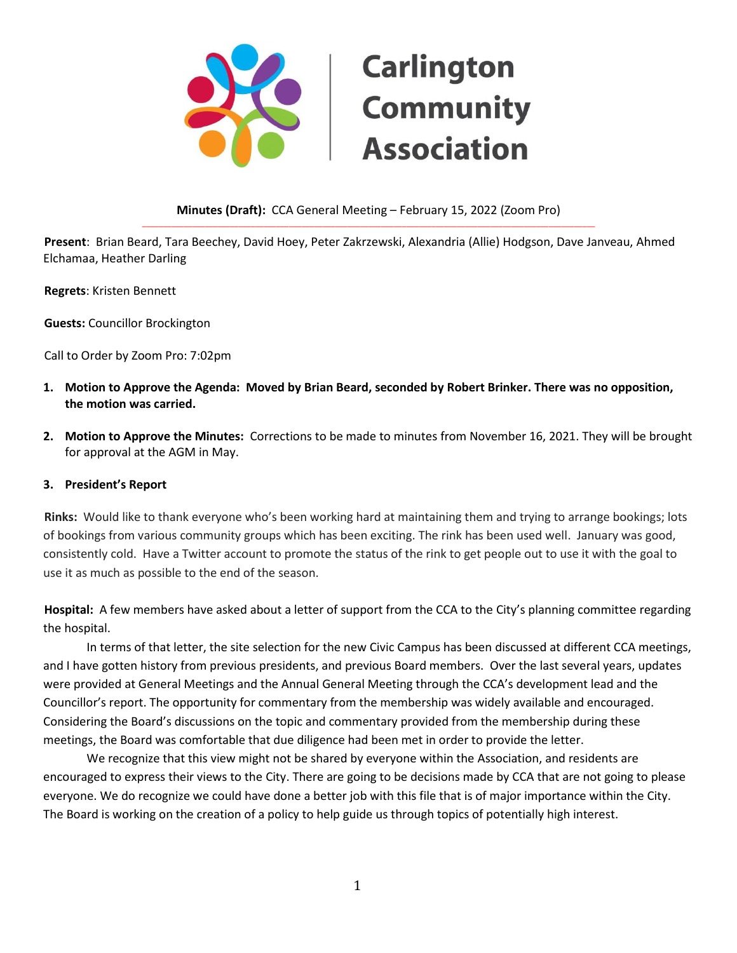

#### **Minutes (Draft):** CCA General Meeting – February 15, 2022 (Zoom Pro) \_\_\_\_\_\_\_\_\_\_\_\_\_\_\_\_\_\_\_\_\_\_\_\_\_\_\_\_\_\_\_\_\_\_\_\_\_\_\_\_\_\_\_\_\_\_\_\_\_\_\_\_\_\_\_\_\_\_\_\_\_\_\_\_\_\_\_\_\_\_\_\_\_\_\_\_\_\_\_\_\_\_\_\_\_\_\_\_\_\_\_\_\_\_\_\_\_\_\_\_\_\_\_\_\_\_\_\_

**Present**: Brian Beard, Tara Beechey, David Hoey, Peter Zakrzewski, Alexandria (Allie) Hodgson, Dave Janveau, Ahmed Elchamaa, Heather Darling

**Regrets**: Kristen Bennett

**Guests:** Councillor Brockington

Call to Order by Zoom Pro: 7:02pm

- **1. Motion to Approve the Agenda: Moved by Brian Beard, seconded by Robert Brinker. There was no opposition, the motion was carried.**
- **2. Motion to Approve the Minutes:** Corrections to be made to minutes from November 16, 2021. They will be brought for approval at the AGM in May.

#### **3. President's Report**

**Rinks:** Would like to thank everyone who's been working hard at maintaining them and trying to arrange bookings; lots of bookings from various community groups which has been exciting. The rink has been used well. January was good, consistently cold. Have a Twitter account to promote the status of the rink to get people out to use it with the goal to use it as much as possible to the end of the season.

**Hospital:** A few members have asked about a letter of support from the CCA to the City's planning committee regarding the hospital.

In terms of that letter, the site selection for the new Civic Campus has been discussed at different CCA meetings, and I have gotten history from previous presidents, and previous Board members. Over the last several years, updates were provided at General Meetings and the Annual General Meeting through the CCA's development lead and the Councillor's report. The opportunity for commentary from the membership was widely available and encouraged. Considering the Board's discussions on the topic and commentary provided from the membership during these meetings, the Board was comfortable that due diligence had been met in order to provide the letter.

We recognize that this view might not be shared by everyone within the Association, and residents are encouraged to express their views to the City. There are going to be decisions made by CCA that are not going to please everyone. We do recognize we could have done a better job with this file that is of major importance within the City. The Board is working on the creation of a policy to help guide us through topics of potentially high interest.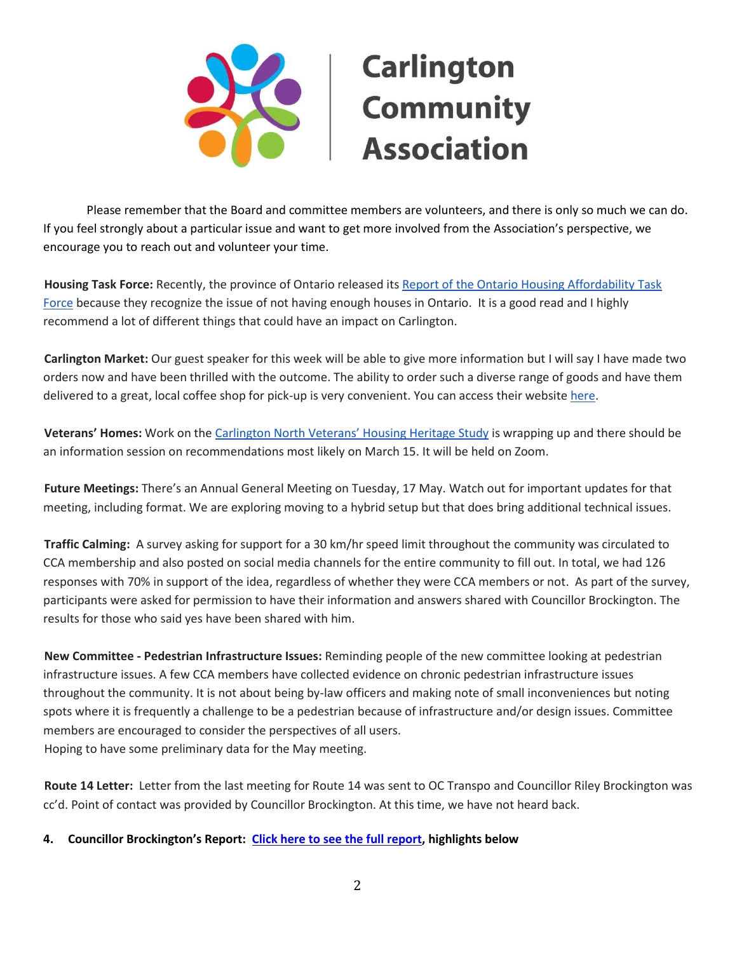

Please remember that the Board and committee members are volunteers, and there is only so much we can do. If you feel strongly about a particular issue and want to get more involved from the Association's perspective, we encourage you to reach out and volunteer your time.

**Housing Task Force:** Recently, the province of Ontario released its [Report of the Ontario Housing Affordability Task](https://files.ontario.ca/mmah-housing-affordability-task-force-report-en-2022-02-07-v2.pdf)  [Force](https://files.ontario.ca/mmah-housing-affordability-task-force-report-en-2022-02-07-v2.pdf) because they recognize the issue of not having enough houses in Ontario. It is a good read and I highly recommend a lot of different things that could have an impact on Carlington.

**Carlington Market:** Our guest speaker for this week will be able to give more information but I will say I have made two orders now and have been thrilled with the outcome. The ability to order such a diverse range of goods and have them delivered to a great, local coffee shop for pick-up is very convenient. You can access their website [here.](https://www.carlingtonmarket.ca/)

**Veterans' Homes:** Work on the Carlin[gton North Veterans' Housing Heritage Study](https://ottawa.ca/en/city-hall/public-engagement/projects/carlington-north-veterans-housing-heritage-study) is wrapping up and there should be an information session on recommendations most likely on March 15. It will be held on Zoom.

**Future Meetings:** There's an Annual General Meeting on Tuesday, 17 May. Watch out for important updates for that meeting, including format. We are exploring moving to a hybrid setup but that does bring additional technical issues.

**Traffic Calming:** A survey asking for support for a 30 km/hr speed limit throughout the community was circulated to CCA membership and also posted on social media channels for the entire community to fill out. In total, we had 126 responses with 70% in support of the idea, regardless of whether they were CCA members or not. As part of the survey, participants were asked for permission to have their information and answers shared with Councillor Brockington. The results for those who said yes have been shared with him.

**New Committee - Pedestrian Infrastructure Issues:** Reminding people of the new committee looking at pedestrian infrastructure issues. A few CCA members have collected evidence on chronic pedestrian infrastructure issues throughout the community. It is not about being by-law officers and making note of small inconveniences but noting spots where it is frequently a challenge to be a pedestrian because of infrastructure and/or design issues. Committee members are encouraged to consider the perspectives of all users. Hoping to have some preliminary data for the May meeting.

**Route 14 Letter:** Letter from the last meeting for Route 14 was sent to OC Transpo and Councillor Riley Brockington was cc'd. Point of contact was provided by Councillor Brockington. At this time, we have not heard back.

**4. Councillor Brockington's Report: [Click here to see the full report,](https://www.carlingtoncommunity.org/wp-content/uploads/2022/02/2022-02-15-counc-rpt-from-cca-mtg.pdf) highlights below**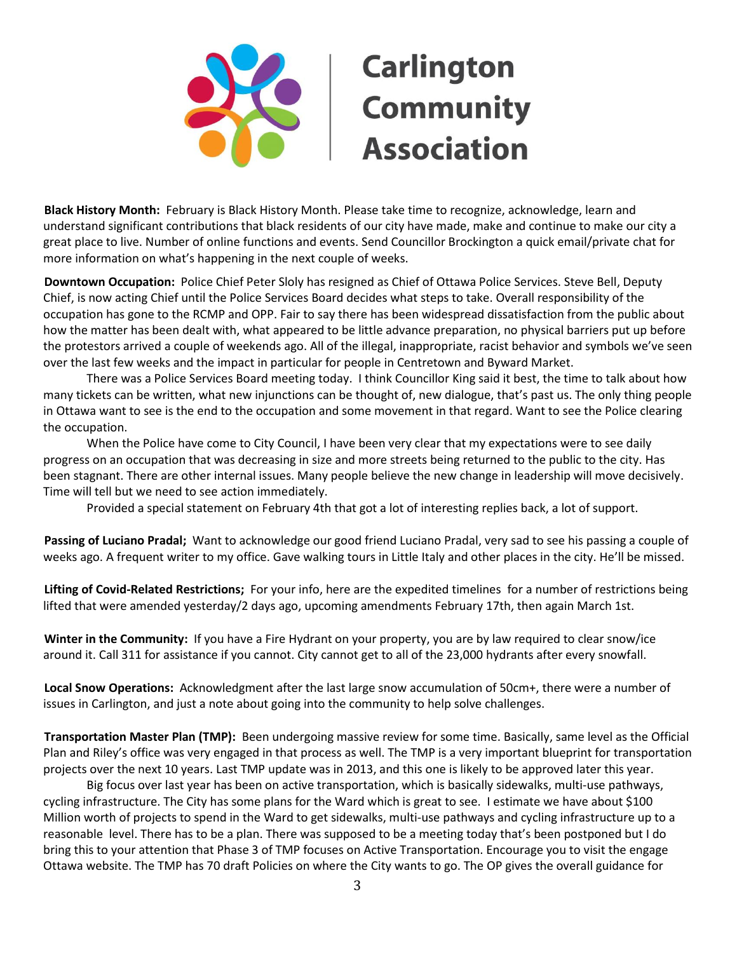

**Black History Month:** February is Black History Month. Please take time to recognize, acknowledge, learn and understand significant contributions that black residents of our city have made, make and continue to make our city a great place to live. Number of online functions and events. Send Councillor Brockington a quick email/private chat for more information on what's happening in the next couple of weeks.

**Downtown Occupation:** Police Chief Peter Sloly has resigned as Chief of Ottawa Police Services. Steve Bell, Deputy Chief, is now acting Chief until the Police Services Board decides what steps to take. Overall responsibility of the occupation has gone to the RCMP and OPP. Fair to say there has been widespread dissatisfaction from the public about how the matter has been dealt with, what appeared to be little advance preparation, no physical barriers put up before the protestors arrived a couple of weekends ago. All of the illegal, inappropriate, racist behavior and symbols we've seen over the last few weeks and the impact in particular for people in Centretown and Byward Market.

There was a Police Services Board meeting today. I think Councillor King said it best, the time to talk about how many tickets can be written, what new injunctions can be thought of, new dialogue, that's past us. The only thing people in Ottawa want to see is the end to the occupation and some movement in that regard. Want to see the Police clearing the occupation.

When the Police have come to City Council, I have been very clear that my expectations were to see daily progress on an occupation that was decreasing in size and more streets being returned to the public to the city. Has been stagnant. There are other internal issues. Many people believe the new change in leadership will move decisively. Time will tell but we need to see action immediately.

Provided a special statement on February 4th that got a lot of interesting replies back, a lot of support.

**Passing of Luciano Pradal;** Want to acknowledge our good friend Luciano Pradal, very sad to see his passing a couple of weeks ago. A frequent writer to my office. Gave walking tours in Little Italy and other places in the city. He'll be missed.

**Lifting of Covid-Related Restrictions;** For your info, here are the expedited timelines for a number of restrictions being lifted that were amended yesterday/2 days ago, upcoming amendments February 17th, then again March 1st.

**Winter in the Community:** If you have a Fire Hydrant on your property, you are by law required to clear snow/ice around it. Call 311 for assistance if you cannot. City cannot get to all of the 23,000 hydrants after every snowfall.

**Local Snow Operations:** Acknowledgment after the last large snow accumulation of 50cm+, there were a number of issues in Carlington, and just a note about going into the community to help solve challenges.

**Transportation Master Plan (TMP):** Been undergoing massive review for some time. Basically, same level as the Official Plan and Riley's office was very engaged in that process as well. The TMP is a very important blueprint for transportation projects over the next 10 years. Last TMP update was in 2013, and this one is likely to be approved later this year.

Big focus over last year has been on active transportation, which is basically sidewalks, multi-use pathways, cycling infrastructure. The City has some plans for the Ward which is great to see. I estimate we have about \$100 Million worth of projects to spend in the Ward to get sidewalks, multi-use pathways and cycling infrastructure up to a reasonable level. There has to be a plan. There was supposed to be a meeting today that's been postponed but I do bring this to your attention that Phase 3 of TMP focuses on Active Transportation. Encourage you to visit the engage Ottawa website. The TMP has 70 draft Policies on where the City wants to go. The OP gives the overall guidance for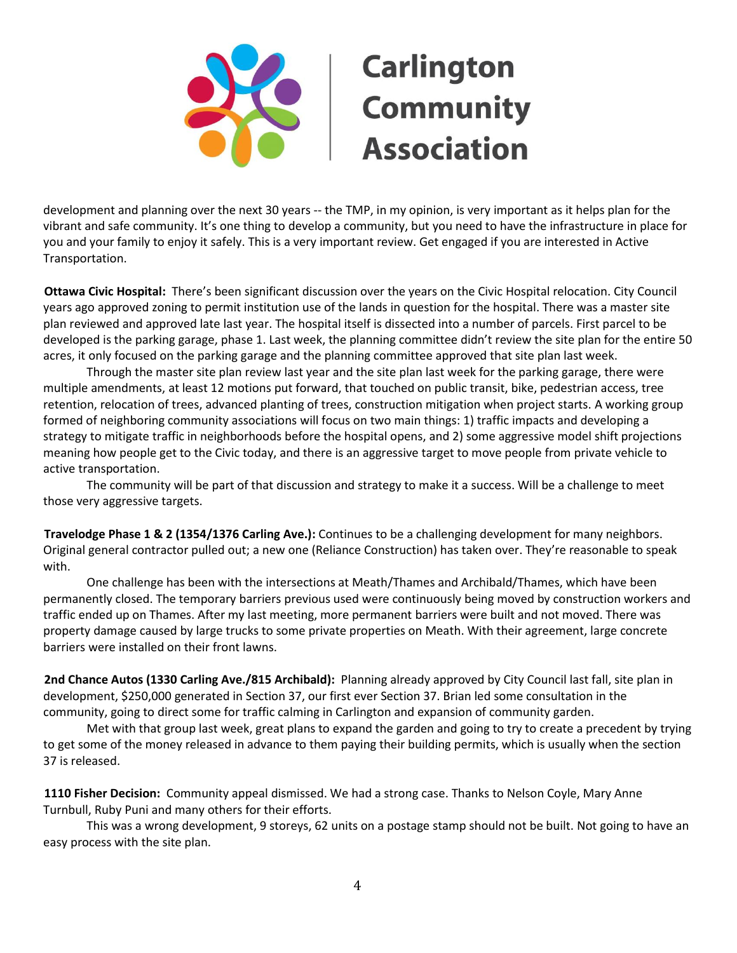

development and planning over the next 30 years -- the TMP, in my opinion, is very important as it helps plan for the vibrant and safe community. It's one thing to develop a community, but you need to have the infrastructure in place for you and your family to enjoy it safely. This is a very important review. Get engaged if you are interested in Active Transportation.

**Ottawa Civic Hospital:** There's been significant discussion over the years on the Civic Hospital relocation. City Council years ago approved zoning to permit institution use of the lands in question for the hospital. There was a master site plan reviewed and approved late last year. The hospital itself is dissected into a number of parcels. First parcel to be developed is the parking garage, phase 1. Last week, the planning committee didn't review the site plan for the entire 50 acres, it only focused on the parking garage and the planning committee approved that site plan last week.

Through the master site plan review last year and the site plan last week for the parking garage, there were multiple amendments, at least 12 motions put forward, that touched on public transit, bike, pedestrian access, tree retention, relocation of trees, advanced planting of trees, construction mitigation when project starts. A working group formed of neighboring community associations will focus on two main things: 1) traffic impacts and developing a strategy to mitigate traffic in neighborhoods before the hospital opens, and 2) some aggressive model shift projections meaning how people get to the Civic today, and there is an aggressive target to move people from private vehicle to active transportation.

The community will be part of that discussion and strategy to make it a success. Will be a challenge to meet those very aggressive targets.

**Travelodge Phase 1 & 2 (1354/1376 Carling Ave.):** Continues to be a challenging development for many neighbors. Original general contractor pulled out; a new one (Reliance Construction) has taken over. They're reasonable to speak with.

One challenge has been with the intersections at Meath/Thames and Archibald/Thames, which have been permanently closed. The temporary barriers previous used were continuously being moved by construction workers and traffic ended up on Thames. After my last meeting, more permanent barriers were built and not moved. There was property damage caused by large trucks to some private properties on Meath. With their agreement, large concrete barriers were installed on their front lawns.

**2nd Chance Autos (1330 Carling Ave./815 Archibald):** Planning already approved by City Council last fall, site plan in development, \$250,000 generated in Section 37, our first ever Section 37. Brian led some consultation in the community, going to direct some for traffic calming in Carlington and expansion of community garden.

Met with that group last week, great plans to expand the garden and going to try to create a precedent by trying to get some of the money released in advance to them paying their building permits, which is usually when the section 37 is released.

**1110 Fisher Decision:** Community appeal dismissed. We had a strong case. Thanks to Nelson Coyle, Mary Anne Turnbull, Ruby Puni and many others for their efforts.

This was a wrong development, 9 storeys, 62 units on a postage stamp should not be built. Not going to have an easy process with the site plan.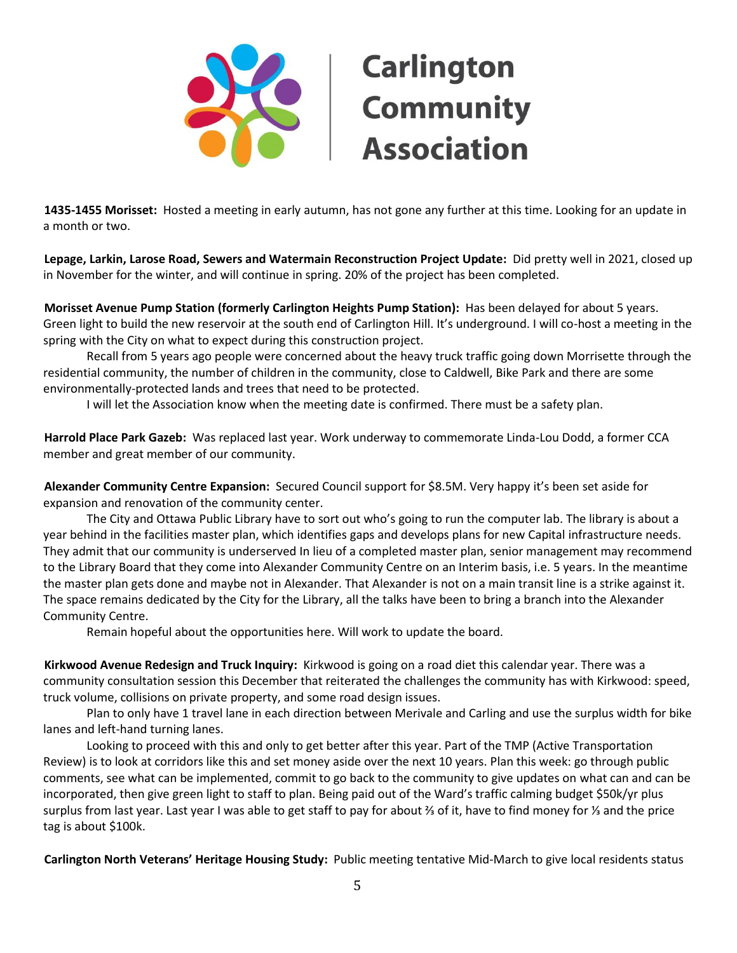

**1435-1455 Morisset:** Hosted a meeting in early autumn, has not gone any further at this time. Looking for an update in a month or two.

**Lepage, Larkin, Larose Road, Sewers and Watermain Reconstruction Project Update:** Did pretty well in 2021, closed up in November for the winter, and will continue in spring. 20% of the project has been completed.

**Morisset Avenue Pump Station (formerly Carlington Heights Pump Station):** Has been delayed for about 5 years. Green light to build the new reservoir at the south end of Carlington Hill. It's underground. I will co-host a meeting in the spring with the City on what to expect during this construction project.

Recall from 5 years ago people were concerned about the heavy truck traffic going down Morrisette through the residential community, the number of children in the community, close to Caldwell, Bike Park and there are some environmentally-protected lands and trees that need to be protected.

I will let the Association know when the meeting date is confirmed. There must be a safety plan.

**Harrold Place Park Gazeb:** Was replaced last year. Work underway to commemorate Linda-Lou Dodd, a former CCA member and great member of our community.

**Alexander Community Centre Expansion:** Secured Council support for \$8.5M. Very happy it's been set aside for expansion and renovation of the community center.

The City and Ottawa Public Library have to sort out who's going to run the computer lab. The library is about a year behind in the facilities master plan, which identifies gaps and develops plans for new Capital infrastructure needs. They admit that our community is underserved In lieu of a completed master plan, senior management may recommend to the Library Board that they come into Alexander Community Centre on an Interim basis, i.e. 5 years. In the meantime the master plan gets done and maybe not in Alexander. That Alexander is not on a main transit line is a strike against it. The space remains dedicated by the City for the Library, all the talks have been to bring a branch into the Alexander Community Centre.

Remain hopeful about the opportunities here. Will work to update the board.

**Kirkwood Avenue Redesign and Truck Inquiry:** Kirkwood is going on a road diet this calendar year. There was a community consultation session this December that reiterated the challenges the community has with Kirkwood: speed, truck volume, collisions on private property, and some road design issues.

Plan to only have 1 travel lane in each direction between Merivale and Carling and use the surplus width for bike lanes and left-hand turning lanes.

Looking to proceed with this and only to get better after this year. Part of the TMP (Active Transportation Review) is to look at corridors like this and set money aside over the next 10 years. Plan this week: go through public comments, see what can be implemented, commit to go back to the community to give updates on what can and can be incorporated, then give green light to staff to plan. Being paid out of the Ward's traffic calming budget \$50k/yr plus surplus from last year. Last year I was able to get staff to pay for about ⅔ of it, have to find money for ⅓ and the price tag is about \$100k.

**Carlington North Veterans' Heritage Housing Study:** Public meeting tentative Mid-March to give local residents status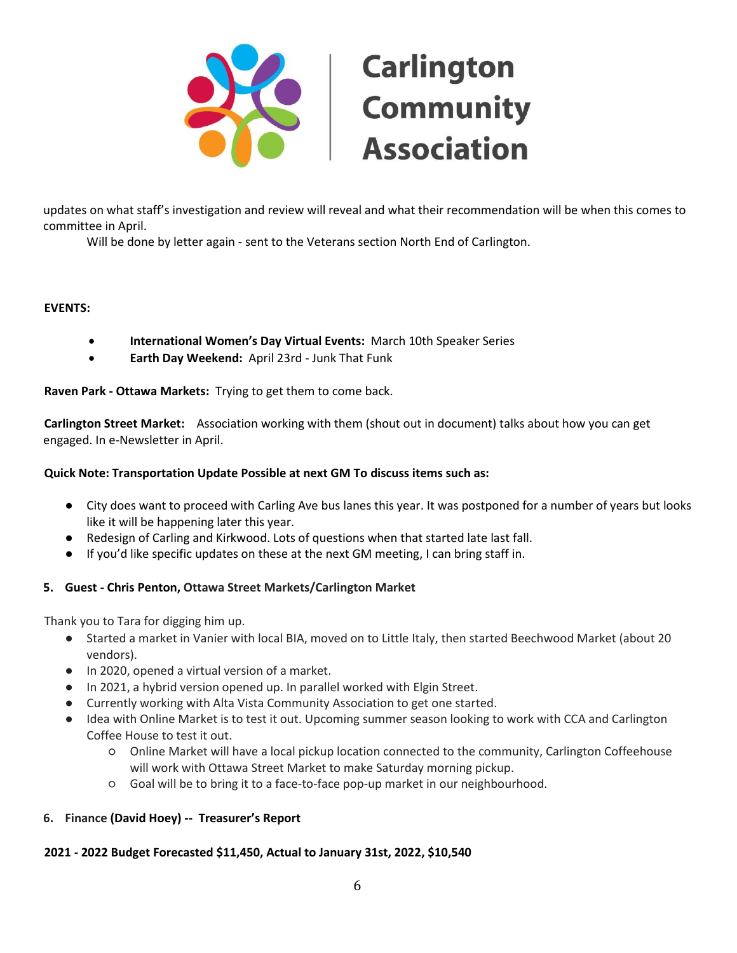

updates on what staff's investigation and review will reveal and what their recommendation will be when this comes to committee in April.

Will be done by letter again - sent to the Veterans section North End of Carlington.

# **EVENTS:**

- **International Women's Day Virtual Events:** March 10th Speaker Series
- **Earth Day Weekend:** April 23rd Junk That Funk

**Raven Park - Ottawa Markets:** Trying to get them to come back.

**Carlington Street Market:** Association working with them (shout out in document) talks about how you can get engaged. In e-Newsletter in April.

# **Quick Note: Transportation Update Possible at next GM To discuss items such as:**

- City does want to proceed with Carling Ave bus lanes this year. It was postponed for a number of years but looks like it will be happening later this year.
- Redesign of Carling and Kirkwood. Lots of questions when that started late last fall.
- If you'd like specific updates on these at the next GM meeting, I can bring staff in.

#### **5. Guest - Chris Penton, Ottawa Street Markets/Carlington Market**

Thank you to Tara for digging him up.

- Started a market in Vanier with local BIA, moved on to Little Italy, then started Beechwood Market (about 20 vendors).
- In 2020, opened a virtual version of a market.
- In 2021, a hybrid version opened up. In parallel worked with Elgin Street.
- Currently working with Alta Vista Community Association to get one started.
- Idea with Online Market is to test it out. Upcoming summer season looking to work with CCA and Carlington Coffee House to test it out.
	- Online Market will have a local pickup location connected to the community, Carlington Coffeehouse will work with Ottawa Street Market to make Saturday morning pickup.
	- Goal will be to bring it to a face-to-face pop-up market in our neighbourhood.

#### **6. Finance (David Hoey) -- Treasurer's Report**

#### **2021 - 2022 Budget Forecasted \$11,450, Actual to January 31st, 2022, \$10,540**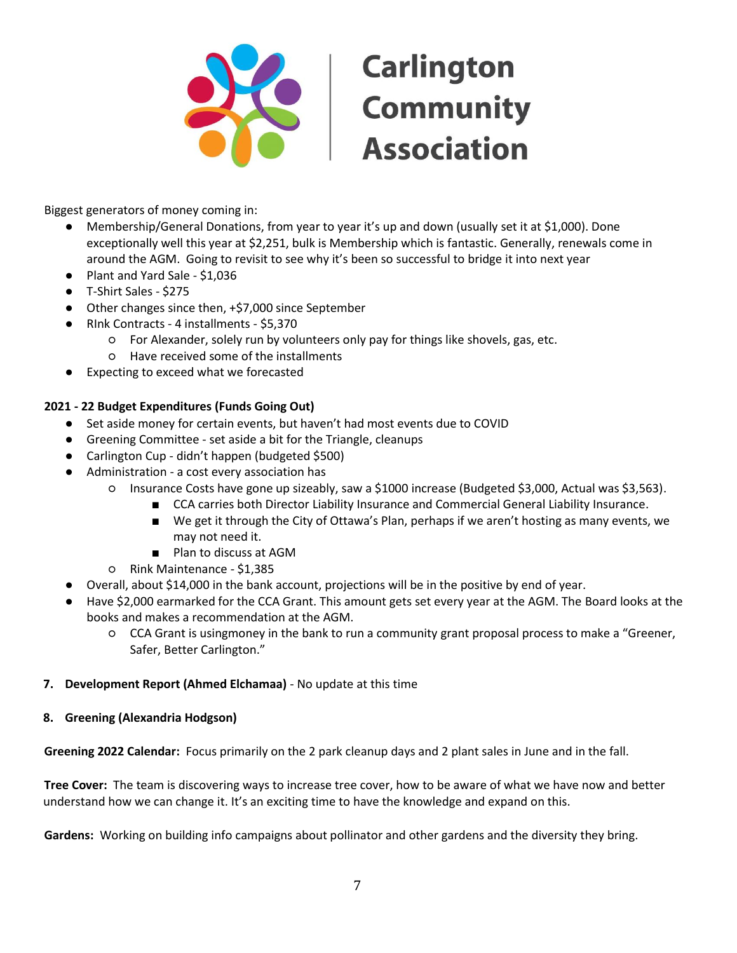

Biggest generators of money coming in:

- Membership/General Donations, from year to year it's up and down (usually set it at \$1,000). Done exceptionally well this year at \$2,251, bulk is Membership which is fantastic. Generally, renewals come in around the AGM. Going to revisit to see why it's been so successful to bridge it into next year
- Plant and Yard Sale \$1,036
- T-Shirt Sales \$275
- Other changes since then, +\$7,000 since September
- RInk Contracts 4 installments \$5,370
	- For Alexander, solely run by volunteers only pay for things like shovels, gas, etc.
	- Have received some of the installments
- Expecting to exceed what we forecasted

# **2021 - 22 Budget Expenditures (Funds Going Out)**

- Set aside money for certain events, but haven't had most events due to COVID
- Greening Committee set aside a bit for the Triangle, cleanups
- Carlington Cup didn't happen (budgeted \$500)
- Administration a cost every association has
	- Insurance Costs have gone up sizeably, saw a \$1000 increase (Budgeted \$3,000, Actual was \$3,563).
		- CCA carries both Director Liability Insurance and Commercial General Liability Insurance.
		- We get it through the City of Ottawa's Plan, perhaps if we aren't hosting as many events, we may not need it.
		- Plan to discuss at AGM
	- Rink Maintenance \$1,385
- Overall, about \$14,000 in the bank account, projections will be in the positive by end of year.
- Have \$2,000 earmarked for the CCA Grant. This amount gets set every year at the AGM. The Board looks at the books and makes a recommendation at the AGM.
	- CCA Grant is usingmoney in the bank to run a community grant proposal process to make a "Greener, Safer, Better Carlington."

#### **7. Development Report (Ahmed Elchamaa)** - No update at this time

#### **8. Greening (Alexandria Hodgson)**

**Greening 2022 Calendar:** Focus primarily on the 2 park cleanup days and 2 plant sales in June and in the fall.

**Tree Cover:** The team is discovering ways to increase tree cover, how to be aware of what we have now and better understand how we can change it. It's an exciting time to have the knowledge and expand on this.

**Gardens:** Working on building info campaigns about pollinator and other gardens and the diversity they bring.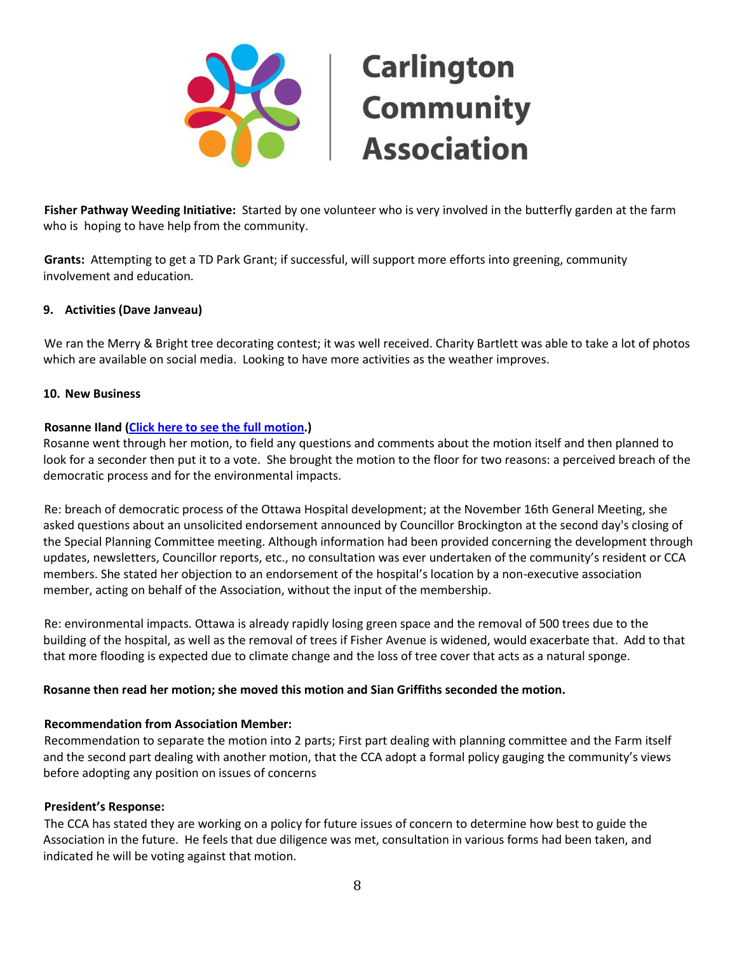

**Fisher Pathway Weeding Initiative:** Started by one volunteer who is very involved in the butterfly garden at the farm who is hoping to have help from the community.

**Grants:** Attempting to get a TD Park Grant; if successful, will support more efforts into greening, community involvement and education.

#### **9. Activities (Dave Janveau)**

We ran the Merry & Bright tree decorating contest; it was well received. Charity Bartlett was able to take a lot of photos which are available on social media. Looking to have more activities as the weather improves.

#### **10. New Business**

#### **Rosanne Iland [\(Click here to see the](https://www.carlingtoncommunity.org/wp-content/uploads/2022/05/2022-02-15-gnl-mtg-Motion-by-member-Rosanne-Iland.pdf) full motion.)**

Rosanne went through her motion, to field any questions and comments about the motion itself and then planned to look for a seconder then put it to a vote. She brought the motion to the floor for two reasons: a perceived breach of the democratic process and for the environmental impacts.

Re: breach of democratic process of the Ottawa Hospital development; at the November 16th General Meeting, she asked questions about an unsolicited endorsement announced by Councillor Brockington at the second day's closing of the Special Planning Committee meeting. Although information had been provided concerning the development through updates, newsletters, Councillor reports, etc., no consultation was ever undertaken of the community's resident or CCA members. She stated her objection to an endorsement of the hospital's location by a non-executive association member, acting on behalf of the Association, without the input of the membership.

Re: environmental impacts. Ottawa is already rapidly losing green space and the removal of 500 trees due to the building of the hospital, as well as the removal of trees if Fisher Avenue is widened, would exacerbate that. Add to that that more flooding is expected due to climate change and the loss of tree cover that acts as a natural sponge.

#### **Rosanne then read her motion; she moved this motion and Sian Griffiths seconded the motion.**

#### **Recommendation from Association Member:**

Recommendation to separate the motion into 2 parts; First part dealing with planning committee and the Farm itself and the second part dealing with another motion, that the CCA adopt a formal policy gauging the community's views before adopting any position on issues of concerns

#### **President's Response:**

The CCA has stated they are working on a policy for future issues of concern to determine how best to guide the Association in the future. He feels that due diligence was met, consultation in various forms had been taken, and indicated he will be voting against that motion.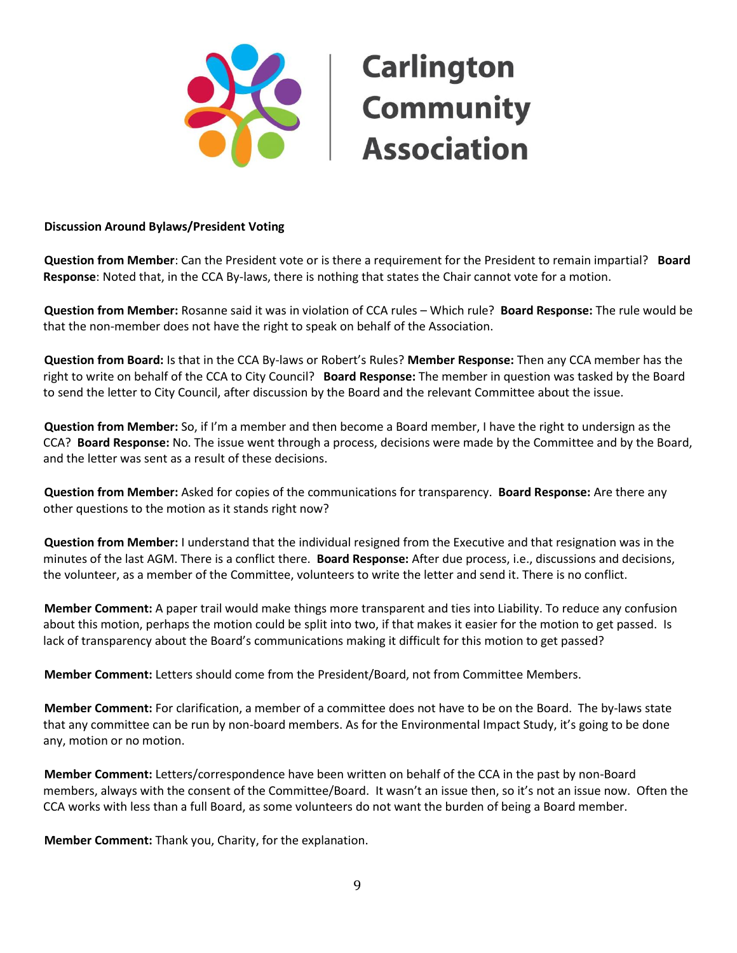

# **Carlington Example 18**<br> **Community<br>
Association Association**

### **Discussion Around Bylaws/President Voting**

**Question from Member**: Can the President vote or is there a requirement for the President to remain impartial? **Board Response**: Noted that, in the CCA By-laws, there is nothing that states the Chair cannot vote for a motion.

**Question from Member:** Rosanne said it was in violation of CCA rules – Which rule? **Board Response:** The rule would be that the non-member does not have the right to speak on behalf of the Association.

**Question from Board:** Is that in the CCA By-laws or Robert's Rules? **Member Response:** Then any CCA member has the right to write on behalf of the CCA to City Council? **Board Response:** The member in question was tasked by the Board to send the letter to City Council, after discussion by the Board and the relevant Committee about the issue.

**Question from Member:** So, if I'm a member and then become a Board member, I have the right to undersign as the CCA? **Board Response:** No. The issue went through a process, decisions were made by the Committee and by the Board, and the letter was sent as a result of these decisions.

**Question from Member:** Asked for copies of the communications for transparency. **Board Response:** Are there any other questions to the motion as it stands right now?

**Question from Member:** I understand that the individual resigned from the Executive and that resignation was in the minutes of the last AGM. There is a conflict there. **Board Response:** After due process, i.e., discussions and decisions, the volunteer, as a member of the Committee, volunteers to write the letter and send it. There is no conflict.

**Member Comment:** A paper trail would make things more transparent and ties into Liability. To reduce any confusion about this motion, perhaps the motion could be split into two, if that makes it easier for the motion to get passed. Is lack of transparency about the Board's communications making it difficult for this motion to get passed?

**Member Comment:** Letters should come from the President/Board, not from Committee Members.

**Member Comment:** For clarification, a member of a committee does not have to be on the Board. The by-laws state that any committee can be run by non-board members. As for the Environmental Impact Study, it's going to be done any, motion or no motion.

**Member Comment:** Letters/correspondence have been written on behalf of the CCA in the past by non-Board members, always with the consent of the Committee/Board. It wasn't an issue then, so it's not an issue now. Often the CCA works with less than a full Board, as some volunteers do not want the burden of being a Board member.

**Member Comment:** Thank you, Charity, for the explanation.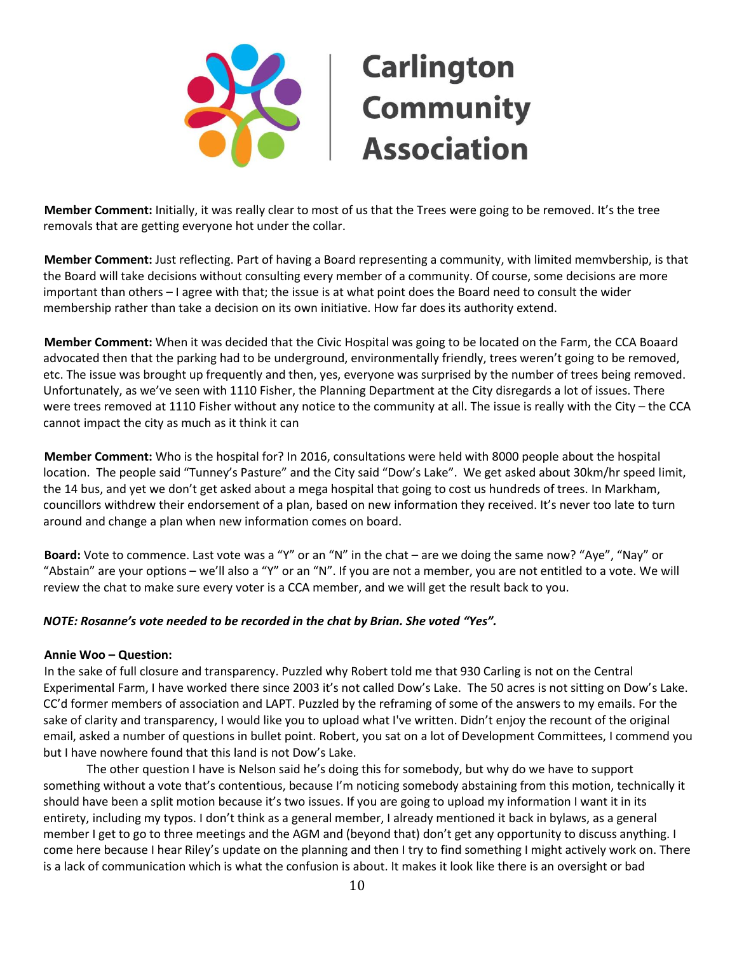

**Member Comment:** Initially, it was really clear to most of us that the Trees were going to be removed. It's the tree removals that are getting everyone hot under the collar.

**Member Comment:** Just reflecting. Part of having a Board representing a community, with limited memvbership, is that the Board will take decisions without consulting every member of a community. Of course, some decisions are more important than others – I agree with that; the issue is at what point does the Board need to consult the wider membership rather than take a decision on its own initiative. How far does its authority extend.

**Member Comment:** When it was decided that the Civic Hospital was going to be located on the Farm, the CCA Boaard advocated then that the parking had to be underground, environmentally friendly, trees weren't going to be removed, etc. The issue was brought up frequently and then, yes, everyone was surprised by the number of trees being removed. Unfortunately, as we've seen with 1110 Fisher, the Planning Department at the City disregards a lot of issues. There were trees removed at 1110 Fisher without any notice to the community at all. The issue is really with the City – the CCA cannot impact the city as much as it think it can

**Member Comment:** Who is the hospital for? In 2016, consultations were held with 8000 people about the hospital location. The people said "Tunney's Pasture" and the City said "Dow's Lake". We get asked about 30km/hr speed limit, the 14 bus, and yet we don't get asked about a mega hospital that going to cost us hundreds of trees. In Markham, councillors withdrew their endorsement of a plan, based on new information they received. It's never too late to turn around and change a plan when new information comes on board.

**Board:** Vote to commence. Last vote was a "Y" or an "N" in the chat – are we doing the same now? "Aye", "Nay" or "Abstain" are your options – we'll also a "Y" or an "N". If you are not a member, you are not entitled to a vote. We will review the chat to make sure every voter is a CCA member, and we will get the result back to you.

#### *NOTE: Rosanne's vote needed to be recorded in the chat by Brian. She voted "Yes".*

#### **Annie Woo – Question:**

In the sake of full closure and transparency. Puzzled why Robert told me that 930 Carling is not on the Central Experimental Farm, I have worked there since 2003 it's not called Dow's Lake. The 50 acres is not sitting on Dow's Lake. CC'd former members of association and LAPT. Puzzled by the reframing of some of the answers to my emails. For the sake of clarity and transparency, I would like you to upload what I've written. Didn't enjoy the recount of the original email, asked a number of questions in bullet point. Robert, you sat on a lot of Development Committees, I commend you but I have nowhere found that this land is not Dow's Lake.

The other question I have is Nelson said he's doing this for somebody, but why do we have to support something without a vote that's contentious, because I'm noticing somebody abstaining from this motion, technically it should have been a split motion because it's two issues. If you are going to upload my information I want it in its entirety, including my typos. I don't think as a general member, I already mentioned it back in bylaws, as a general member I get to go to three meetings and the AGM and (beyond that) don't get any opportunity to discuss anything. I come here because I hear Riley's update on the planning and then I try to find something I might actively work on. There is a lack of communication which is what the confusion is about. It makes it look like there is an oversight or bad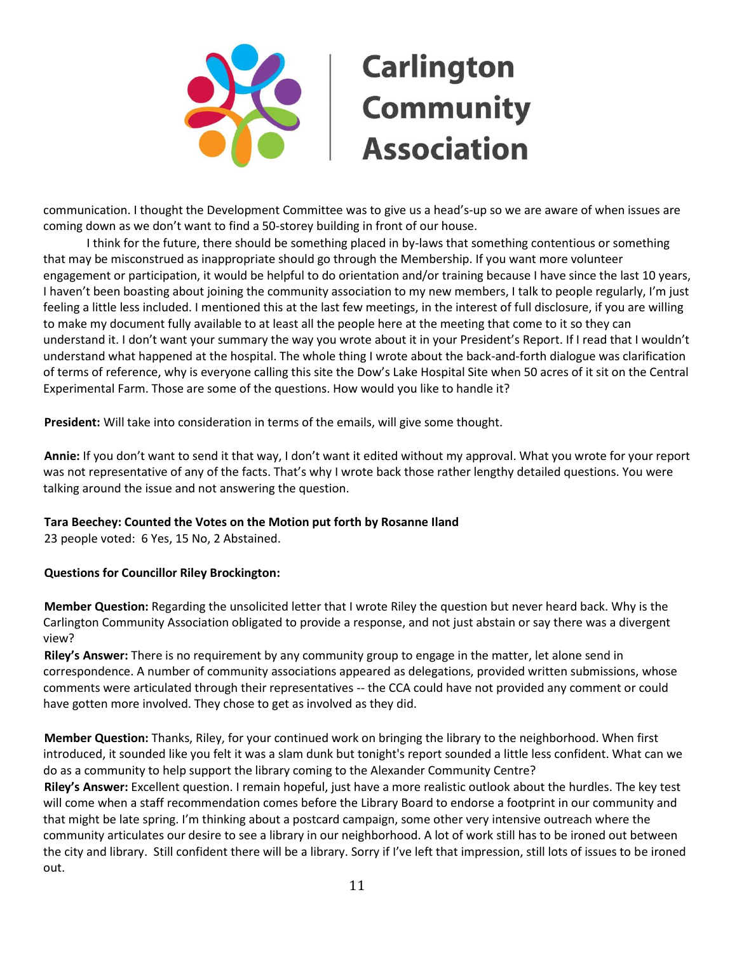

communication. I thought the Development Committee was to give us a head's-up so we are aware of when issues are coming down as we don't want to find a 50-storey building in front of our house.

I think for the future, there should be something placed in by-laws that something contentious or something that may be misconstrued as inappropriate should go through the Membership. If you want more volunteer engagement or participation, it would be helpful to do orientation and/or training because I have since the last 10 years, I haven't been boasting about joining the community association to my new members, I talk to people regularly, I'm just feeling a little less included. I mentioned this at the last few meetings, in the interest of full disclosure, if you are willing to make my document fully available to at least all the people here at the meeting that come to it so they can understand it. I don't want your summary the way you wrote about it in your President's Report. If I read that I wouldn't understand what happened at the hospital. The whole thing I wrote about the back-and-forth dialogue was clarification of terms of reference, why is everyone calling this site the Dow's Lake Hospital Site when 50 acres of it sit on the Central Experimental Farm. Those are some of the questions. How would you like to handle it?

**President:** Will take into consideration in terms of the emails, will give some thought.

**Annie:** If you don't want to send it that way, I don't want it edited without my approval. What you wrote for your report was not representative of any of the facts. That's why I wrote back those rather lengthy detailed questions. You were talking around the issue and not answering the question.

# **Tara Beechey: Counted the Votes on the Motion put forth by Rosanne Iland**

23 people voted: 6 Yes, 15 No, 2 Abstained.

# **Questions for Councillor Riley Brockington:**

**Member Question:** Regarding the unsolicited letter that I wrote Riley the question but never heard back. Why is the Carlington Community Association obligated to provide a response, and not just abstain or say there was a divergent view?

**Riley's Answer:** There is no requirement by any community group to engage in the matter, let alone send in correspondence. A number of community associations appeared as delegations, provided written submissions, whose comments were articulated through their representatives -- the CCA could have not provided any comment or could have gotten more involved. They chose to get as involved as they did.

**Member Question:** Thanks, Riley, for your continued work on bringing the library to the neighborhood. When first introduced, it sounded like you felt it was a slam dunk but tonight's report sounded a little less confident. What can we do as a community to help support the library coming to the Alexander Community Centre?

**Riley's Answer:** Excellent question. I remain hopeful, just have a more realistic outlook about the hurdles. The key test will come when a staff recommendation comes before the Library Board to endorse a footprint in our community and that might be late spring. I'm thinking about a postcard campaign, some other very intensive outreach where the community articulates our desire to see a library in our neighborhood. A lot of work still has to be ironed out between the city and library. Still confident there will be a library. Sorry if I've left that impression, still lots of issues to be ironed out.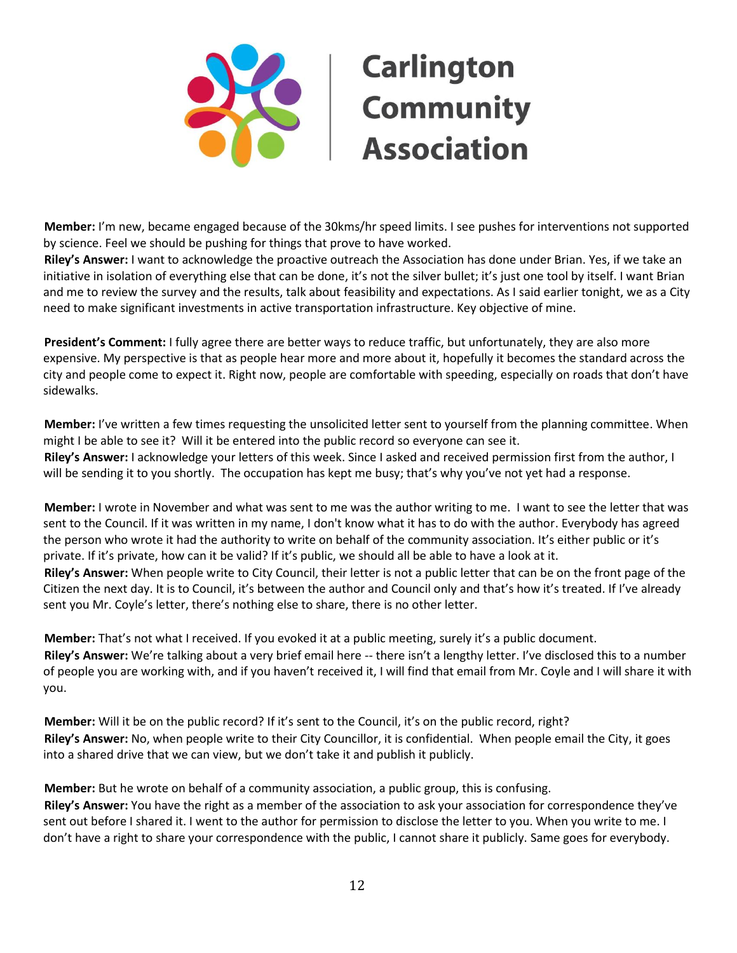

**Member:** I'm new, became engaged because of the 30kms/hr speed limits. I see pushes for interventions not supported by science. Feel we should be pushing for things that prove to have worked.

**Riley's Answer:** I want to acknowledge the proactive outreach the Association has done under Brian. Yes, if we take an initiative in isolation of everything else that can be done, it's not the silver bullet; it's just one tool by itself. I want Brian and me to review the survey and the results, talk about feasibility and expectations. As I said earlier tonight, we as a City need to make significant investments in active transportation infrastructure. Key objective of mine.

**President's Comment:** I fully agree there are better ways to reduce traffic, but unfortunately, they are also more expensive. My perspective is that as people hear more and more about it, hopefully it becomes the standard across the city and people come to expect it. Right now, people are comfortable with speeding, especially on roads that don't have sidewalks.

**Member:** I've written a few times requesting the unsolicited letter sent to yourself from the planning committee. When might I be able to see it? Will it be entered into the public record so everyone can see it. **Riley's Answer:** I acknowledge your letters of this week. Since I asked and received permission first from the author, I will be sending it to you shortly. The occupation has kept me busy; that's why you've not yet had a response.

**Member:** I wrote in November and what was sent to me was the author writing to me. I want to see the letter that was sent to the Council. If it was written in my name, I don't know what it has to do with the author. Everybody has agreed the person who wrote it had the authority to write on behalf of the community association. It's either public or it's private. If it's private, how can it be valid? If it's public, we should all be able to have a look at it. **Riley's Answer:** When people write to City Council, their letter is not a public letter that can be on the front page of the Citizen the next day. It is to Council, it's between the author and Council only and that's how it's treated. If I've already sent you Mr. Coyle's letter, there's nothing else to share, there is no other letter.

**Member:** That's not what I received. If you evoked it at a public meeting, surely it's a public document. **Riley's Answer:** We're talking about a very brief email here -- there isn't a lengthy letter. I've disclosed this to a number of people you are working with, and if you haven't received it, I will find that email from Mr. Coyle and I will share it with you.

**Member:** Will it be on the public record? If it's sent to the Council, it's on the public record, right? **Riley's Answer:** No, when people write to their City Councillor, it is confidential. When people email the City, it goes into a shared drive that we can view, but we don't take it and publish it publicly.

**Member:** But he wrote on behalf of a community association, a public group, this is confusing. **Riley's Answer:** You have the right as a member of the association to ask your association for correspondence they've sent out before I shared it. I went to the author for permission to disclose the letter to you. When you write to me. I don't have a right to share your correspondence with the public, I cannot share it publicly. Same goes for everybody.